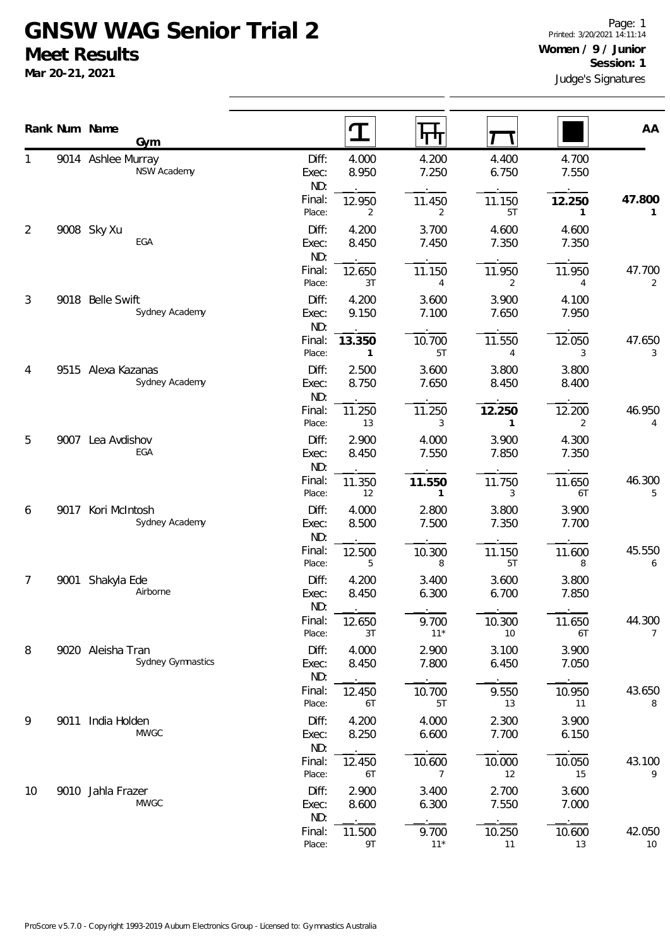## **GNSW WAG Senior Trial 2 Meet Results**

**Mar 20-21, 2021**

|    |      | Rank Num Name                            | $\mathbf T$                                | पग                       |                |                | AA           |
|----|------|------------------------------------------|--------------------------------------------|--------------------------|----------------|----------------|--------------|
| 1  |      | Gym<br>9014 Ashlee Murray<br>NSW Academy | Diff:<br>4.000<br>8.950<br>Exec:<br>ND:    | 4.200<br>7.250           | 4.400<br>6.750 | 4.700<br>7.550 |              |
|    |      |                                          | Final:<br>12.950<br>Place:<br>2            | 11.450<br>2              | 11.150<br>5T   | 12.250<br>1    | 47.800<br>1  |
| 2  |      | 9008 Sky Xu<br>EGA                       | Diff:<br>4.200<br>8.450<br>Exec:<br>ND:    | 3.700<br>7.450           | 4.600<br>7.350 | 4.600<br>7.350 |              |
|    |      |                                          | Final:<br>12.650<br>Place:<br>3T           | 11.150<br>4              | 11.950<br>2    | 11.950<br>4    | 47.700<br>2  |
| 3  |      | 9018 Belle Swift<br>Sydney Academy       | Diff:<br>4.200<br>9.150<br>Exec:<br>ND:    | 3.600<br>7.100           | 3.900<br>7.650 | 4.100<br>7.950 |              |
|    |      |                                          | Final:<br>13.350<br>Place:<br>$\mathbf{1}$ | 10.700<br>5T             | 11.550<br>4    | 12.050<br>3    | 47.650<br>3  |
| 4  |      | 9515 Alexa Kazanas<br>Sydney Academy     | 2.500<br>Diff:<br>8.750<br>Exec:<br>ND:    | 3.600<br>7.650           | 3.800<br>8.450 | 3.800<br>8.400 |              |
|    |      |                                          | Final:<br>11.250<br>Place:<br>13           | 11.250<br>3              | 12.250<br>1    | 12.200<br>2    | 46.950<br>4  |
| 5  | 9007 | Lea Avdishov<br>EGA                      | Diff:<br>2.900<br>8.450<br>Exec:<br>ND:    | 4.000<br>7.550           | 3.900<br>7.850 | 4.300<br>7.350 |              |
|    |      |                                          | Final:<br>11.350<br>Place:<br>12           | 11.550<br>1              | 11.750<br>3    | 11.650<br>6T   | 46.300<br>5  |
| 6  | 9017 | Kori McIntosh<br>Sydney Academy          | Diff:<br>4.000<br>8.500<br>Exec:<br>ND:    | 2.800<br>7.500           | 3.800<br>7.350 | 3.900<br>7.700 |              |
|    |      |                                          | Final:<br>12.500<br>Place:<br>5            | 10.300<br>8              | 11.150<br>5T   | 11.600<br>8    | 45.550<br>6  |
| 7  | 9001 | Shakyla Ede<br>Airborne                  | Diff:<br>4.200<br>Exec:<br>8.450<br>ND:    | 3.400<br>6.300           | 3.600<br>6.700 | 3.800<br>7.850 |              |
|    |      |                                          | Final:<br>12.650<br>Place:<br>3T           | 9.700<br>$11*$           | 10.300<br>10   | 11.650<br>6T   | 44.300<br>7  |
| 8  |      | 9020 Aleisha Tran<br>Sydney Gymnastics   | Diff:<br>4.000<br>8.450<br>Exec:<br>ND:    | 2.900<br>7.800           | 3.100<br>6.450 | 3.900<br>7.050 |              |
|    |      |                                          | Final:<br>12.450<br>Place:<br>6T           | 10.700<br>5T             | 9.550<br>13    | 10.950<br>11   | 43.650<br>8  |
| 9  | 9011 | India Holden<br><b>MWGC</b>              | Diff:<br>4.200<br>8.250<br>Exec:<br>ND:    | 4.000<br>6.600           | 2.300<br>7.700 | 3.900<br>6.150 |              |
|    |      |                                          | Final:<br>12.450<br>Place:<br>6T           | 10.600<br>$\overline{7}$ | 10.000<br>12   | 10.050<br>15   | 43.100<br>9  |
| 10 |      | 9010 Jahla Frazer<br><b>MWGC</b>         | Diff:<br>2.900<br>8.600<br>Exec:<br>ND:    | 3.400<br>6.300           | 2.700<br>7.550 | 3.600<br>7.000 |              |
|    |      |                                          | Final:<br>11.500<br>Place:<br>9T           | 9.700<br>$11*$           | 10.250<br>11   | 10.600<br>13   | 42.050<br>10 |